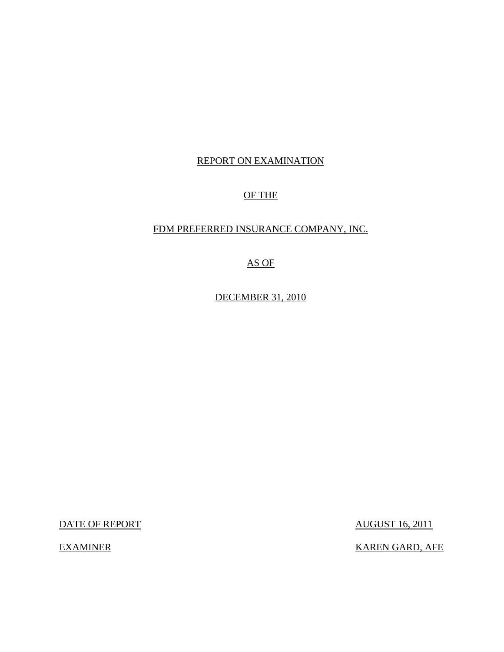## REPORT ON EXAMINATION

## OF THE

### FDM PREFERRED INSURANCE COMPANY, INC.

# AS OF

DECEMBER 31, 2010

DATE OF REPORT AUGUST 16, 2011

EXAMINER KAREN GARD, AFE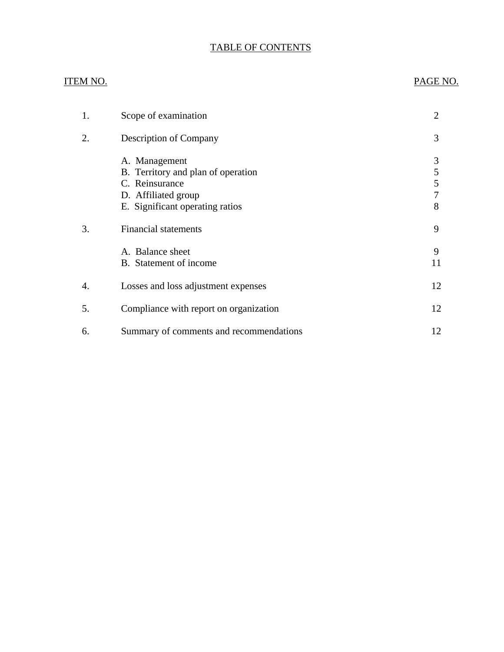# TABLE OF CONTENTS

### ITEM NO. PAGE NO.

| 1. | Scope of examination                                                                                                            | 2                                  |
|----|---------------------------------------------------------------------------------------------------------------------------------|------------------------------------|
| 2. | <b>Description of Company</b>                                                                                                   | 3                                  |
|    | A. Management<br>B. Territory and plan of operation<br>C. Reinsurance<br>D. Affiliated group<br>E. Significant operating ratios | 3<br>5<br>5<br>$\overline{7}$<br>8 |
| 3. | <b>Financial statements</b>                                                                                                     | 9                                  |
|    | A. Balance sheet<br>B. Statement of income                                                                                      | 9<br>11                            |
| 4. | Losses and loss adjustment expenses                                                                                             | 12                                 |
| 5. | Compliance with report on organization                                                                                          | 12                                 |
| 6. | Summary of comments and recommendations                                                                                         | 12                                 |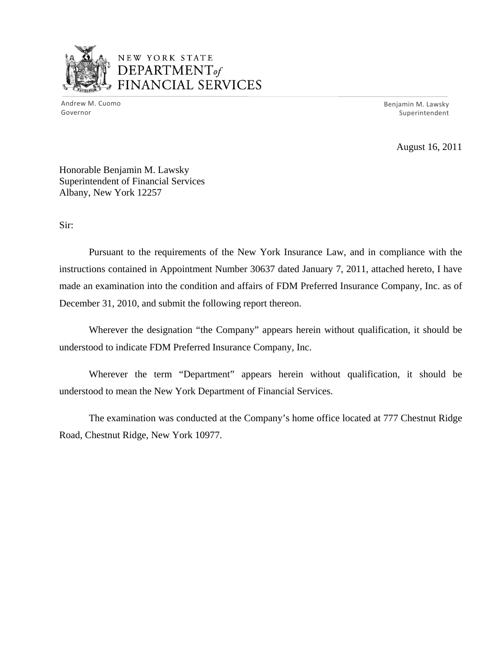

# NEW YORK STATE DEPARTMENT *of*  FINANCIAL SERVICES

Andrew M. Cuomo Benjamin M. Lawsky Superintendent

August 16, 2011

Honorable Benjamin M. Lawsky Superintendent of Financial Services Albany, New York 12257

Sir:

Pursuant to the requirements of the New York Insurance Law, and in compliance with the instructions contained in Appointment Number 30637 dated January 7, 2011, attached hereto, I have made an examination into the condition and affairs of FDM Preferred Insurance Company, Inc. as of December 31, 2010, and submit the following report thereon.

Wherever the designation "the Company" appears herein without qualification, it should be understood to indicate FDM Preferred Insurance Company, Inc.

Wherever the term "Department" appears herein without qualification, it should be understood to mean the New York Department of Financial Services.

The examination was conducted at the Company's home office located at 777 Chestnut Ridge Road, Chestnut Ridge, New York 10977.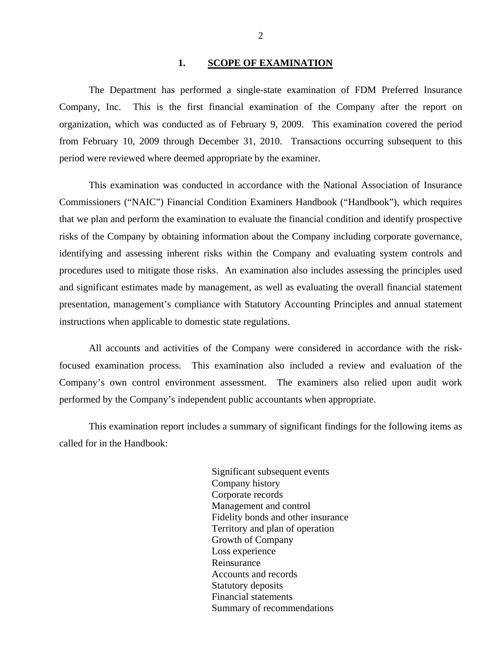#### 1. SCOPE OF EXAMINATION

<span id="page-3-0"></span>The Department has performed a single-state examination of FDM Preferred Insurance Company, Inc. This is the first financial examination of the Company after the report on organization, which was conducted as of February 9, 2009. This examination covered the period from February 10, 2009 through December 31, 2010. Transactions occurring subsequent to this period were reviewed where deemed appropriate by the examiner.

This examination was conducted in accordance with the National Association of Insurance Commissioners ("NAIC") Financial Condition Examiners Handbook ("Handbook"), which requires that we plan and perform the examination to evaluate the financial condition and identify prospective risks of the Company by obtaining information about the Company including corporate governance, identifying and assessing inherent risks within the Company and evaluating system controls and procedures used to mitigate those risks. An examination also includes assessing the principles used and significant estimates made by management, as well as evaluating the overall financial statement presentation, management's compliance with Statutory Accounting Principles and annual statement instructions when applicable to domestic state regulations.

All accounts and activities of the Company were considered in accordance with the riskfocused examination process. This examination also included a review and evaluation of the Company's own control environment assessment. The examiners also relied upon audit work performed by the Company's independent public accountants when appropriate.

This examination report includes a summary of significant findings for the following items as called for in the Handbook:

> Significant subsequent events Company history Corporate records Management and control Fidelity bonds and other insurance Territory and plan of operation Growth of Company Loss experience Reinsurance Accounts and records Statutory deposits Financial statements Summary of recommendations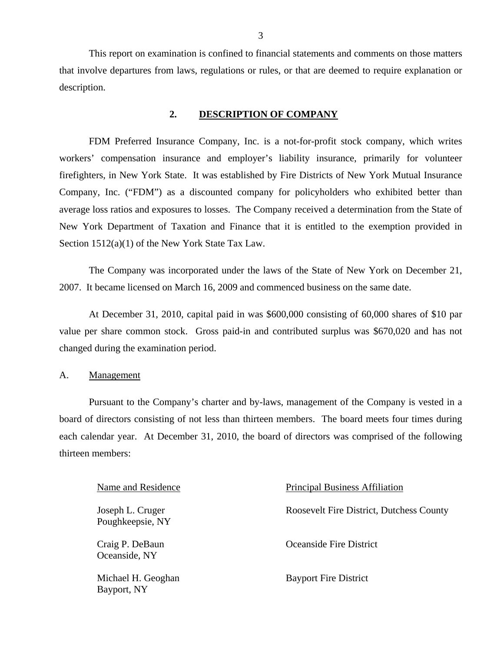<span id="page-4-0"></span>This report on examination is confined to financial statements and comments on those matters that involve departures from laws, regulations or rules, or that are deemed to require explanation or description.

#### **2. DESCRIPTION OF COMPANY**

FDM Preferred Insurance Company, Inc. is a not-for-profit stock company, which writes workers' compensation insurance and employer's liability insurance, primarily for volunteer firefighters, in New York State. It was established by Fire Districts of New York Mutual Insurance Company, Inc. ("FDM") as a discounted company for policyholders who exhibited better than average loss ratios and exposures to losses. The Company received a determination from the State of New York Department of Taxation and Finance that it is entitled to the exemption provided in Section 1512(a)(1) of the New York State Tax Law.

The Company was incorporated under the laws of the State of New York on December 21, 2007. It became licensed on March 16, 2009 and commenced business on the same date.

At December 31, 2010, capital paid in was \$600,000 consisting of 60,000 shares of \$10 par value per share common stock. Gross paid-in and contributed surplus was \$670,020 and has not changed during the examination period.

A. Management

Pursuant to the Company's charter and by-laws, management of the Company is vested in a board of directors consisting of not less than thirteen members. The board meets four times during each calendar year. At December 31, 2010, the board of directors was comprised of the following thirteen members:

Poughkeepsie, NY

Oceanside, NY

Bayport, NY

Name and Residence Principal Business Affiliation Joseph L. Cruger Roosevelt Fire District, Dutchess County Craig P. DeBaun Oceanside Fire District

Michael H. Geoghan Bayport Fire District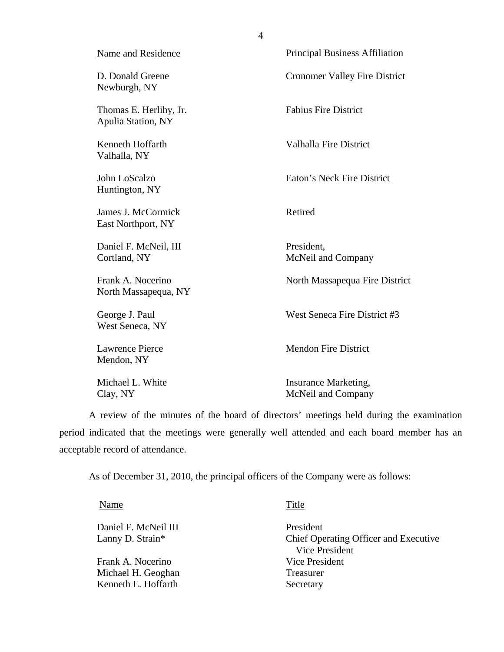| Name and Residence                           | <b>Principal Business Affiliation</b>      |
|----------------------------------------------|--------------------------------------------|
| D. Donald Greene<br>Newburgh, NY             | <b>Cronomer Valley Fire District</b>       |
| Thomas E. Herlihy, Jr.<br>Apulia Station, NY | <b>Fabius Fire District</b>                |
| Kenneth Hoffarth<br>Valhalla, NY             | <b>Valhalla Fire District</b>              |
| John LoScalzo<br>Huntington, NY              | Eaton's Neck Fire District                 |
| James J. McCormick<br>East Northport, NY     | Retired                                    |
| Daniel F. McNeil, III<br>Cortland, NY        | President,<br>McNeil and Company           |
| Frank A. Nocerino<br>North Massapequa, NY    | North Massapequa Fire District             |
| George J. Paul<br>West Seneca, NY            | West Seneca Fire District #3               |
| <b>Lawrence Pierce</b><br>Mendon, NY         | <b>Mendon Fire District</b>                |
| Michael L. White<br>Clay, NY                 | Insurance Marketing,<br>McNeil and Company |

A review of the minutes of the board of directors' meetings held during the examination period indicated that the meetings were generally well attended and each board member has an acceptable record of attendance.

As of December 31, 2010, the principal officers of the Company were as follows:

Name

Daniel F. McNeil III Lanny D. Strain\*

Frank A. Nocerino Michael H. Geoghan Kenneth E. Hoffarth

**Title** 

President Chief Operating Officer and Executive Vice President Vice President Treasurer Secretary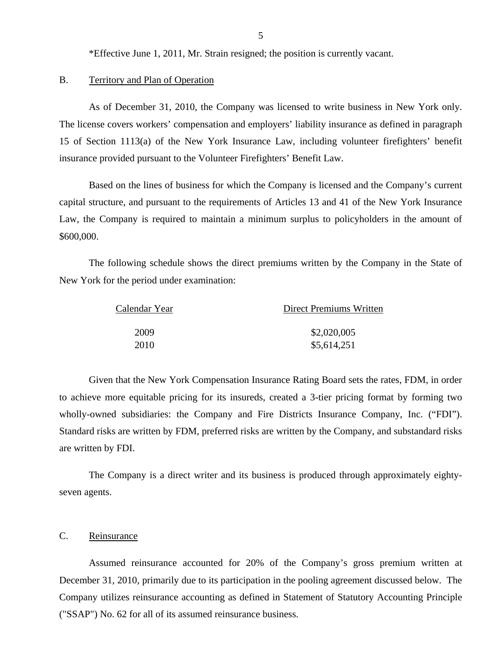\*Effective June 1, 2011, Mr. Strain resigned; the position is currently vacant.

#### B. Territory and Plan of Operation

As of December 31, 2010, the Company was licensed to write business in New York only. The license covers workers' compensation and employers' liability insurance as defined in paragraph 15 of Section 1113(a) of the New York Insurance Law, including volunteer firefighters' benefit insurance provided pursuant to the Volunteer Firefighters' Benefit Law.

Based on the lines of business for which the Company is licensed and the Company's current capital structure, and pursuant to the requirements of Articles 13 and 41 of the New York Insurance Law, the Company is required to maintain a minimum surplus to policyholders in the amount of \$600,000.

The following schedule shows the direct premiums written by the Company in the State of New York for the period under examination:

| Calendar Year | Direct Premiums Written |
|---------------|-------------------------|
| 2009          | \$2,020,005             |
| 2010          | \$5,614,251             |

Given that the New York Compensation Insurance Rating Board sets the rates, FDM, in order to achieve more equitable pricing for its insureds, created a 3-tier pricing format by forming two wholly-owned subsidiaries: the Company and Fire Districts Insurance Company, Inc. ("FDI"). Standard risks are written by FDM, preferred risks are written by the Company, and substandard risks are written by FDI.

The Company is a direct writer and its business is produced through approximately eightyseven agents.

#### C. Reinsurance

Assumed reinsurance accounted for 20% of the Company's gross premium written at December 31, 2010, primarily due to its participation in the pooling agreement discussed below. The Company utilizes reinsurance accounting as defined in Statement of Statutory Accounting Principle ("SSAP") No. 62 for all of its assumed reinsurance business.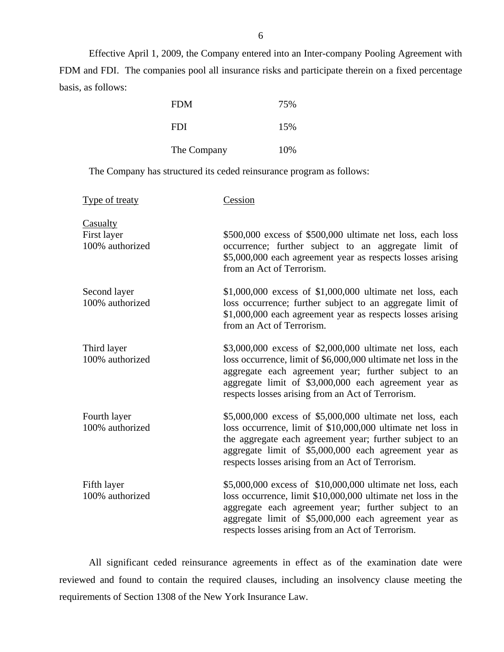Effective April 1, 2009, the Company entered into an Inter-company Pooling Agreement with FDM and FDI. The companies pool all insurance risks and participate therein on a fixed percentage basis, as follows:

| <b>FDM</b>  | 75% |
|-------------|-----|
| <b>FDI</b>  | 15% |
| The Company | 10% |

The Company has structured its ceded reinsurance program as follows:

| Type of treaty                             | Cession                                                                                                                                                                                                                                                                                            |
|--------------------------------------------|----------------------------------------------------------------------------------------------------------------------------------------------------------------------------------------------------------------------------------------------------------------------------------------------------|
| Casualty<br>First layer<br>100% authorized | \$500,000 excess of \$500,000 ultimate net loss, each loss<br>occurrence; further subject to an aggregate limit of<br>\$5,000,000 each agreement year as respects losses arising<br>from an Act of Terrorism.                                                                                      |
| Second layer<br>100% authorized            | $$1,000,000$ excess of $$1,000,000$ ultimate net loss, each<br>loss occurrence; further subject to an aggregate limit of<br>\$1,000,000 each agreement year as respects losses arising<br>from an Act of Terrorism.                                                                                |
| Third layer<br>100% authorized             | \$3,000,000 excess of \$2,000,000 ultimate net loss, each<br>loss occurrence, limit of \$6,000,000 ultimate net loss in the<br>aggregate each agreement year; further subject to an<br>aggregate limit of \$3,000,000 each agreement year as<br>respects losses arising from an Act of Terrorism.  |
| Fourth layer<br>100% authorized            | \$5,000,000 excess of \$5,000,000 ultimate net loss, each<br>loss occurrence, limit of \$10,000,000 ultimate net loss in<br>the aggregate each agreement year; further subject to an<br>aggregate limit of \$5,000,000 each agreement year as<br>respects losses arising from an Act of Terrorism. |
| Fifth layer<br>100% authorized             | \$5,000,000 excess of \$10,000,000 ultimate net loss, each<br>loss occurrence, limit \$10,000,000 ultimate net loss in the<br>aggregate each agreement year; further subject to an<br>aggregate limit of \$5,000,000 each agreement year as<br>respects losses arising from an Act of Terrorism.   |

All significant ceded reinsurance agreements in effect as of the examination date were reviewed and found to contain the required clauses, including an insolvency clause meeting the requirements of Section 1308 of the New York Insurance Law.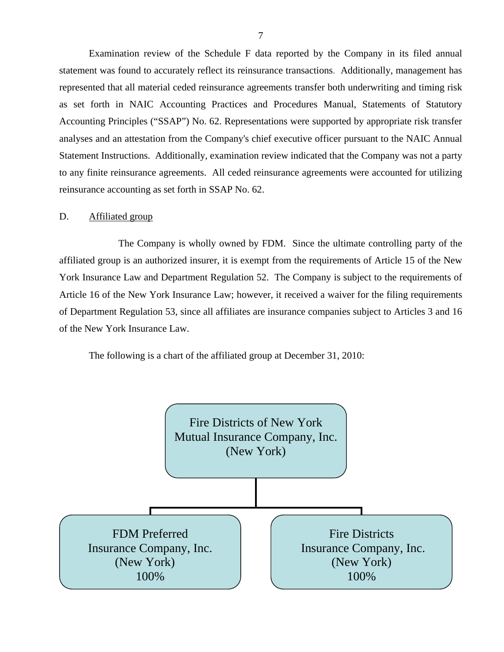<span id="page-8-0"></span>Examination review of the Schedule F data reported by the Company in its filed annual statement was found to accurately reflect its reinsurance transactions. Additionally, management has represented that all material ceded reinsurance agreements transfer both underwriting and timing risk as set forth in NAIC Accounting Practices and Procedures Manual, Statements of Statutory Accounting Principles ("SSAP") No. 62. Representations were supported by appropriate risk transfer analyses and an attestation from the Company's chief executive officer pursuant to the NAIC Annual Statement Instructions. Additionally, examination review indicated that the Company was not a party to any finite reinsurance agreements. All ceded reinsurance agreements were accounted for utilizing reinsurance accounting as set forth in SSAP No. 62.

#### D. Affiliated group

The Company is wholly owned by FDM. Since the ultimate controlling party of the affiliated group is an authorized insurer, it is exempt from the requirements of Article 15 of the New York Insurance Law and Department Regulation 52. The Company is subject to the requirements of Article 16 of the New York Insurance Law; however, it received a waiver for the filing requirements of Department Regulation 53, since all affiliates are insurance companies subject to Articles 3 and 16 of the New York Insurance Law.

The following is a chart of the affiliated group at December 31, 2010:

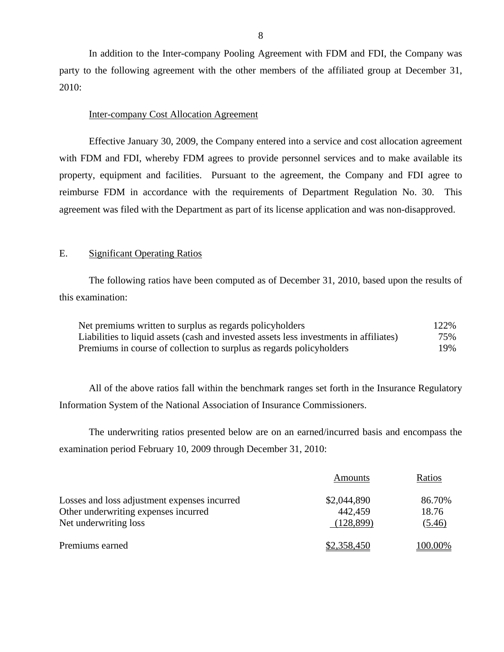In addition to the Inter-company Pooling Agreement with FDM and FDI, the Company was party to the following agreement with the other members of the affiliated group at December 31, 2010:

#### Inter-company Cost Allocation Agreement

Effective January 30, 2009, the Company entered into a service and cost allocation agreement with FDM and FDI, whereby FDM agrees to provide personnel services and to make available its property, equipment and facilities. Pursuant to the agreement, the Company and FDI agree to reimburse FDM in accordance with the requirements of Department Regulation No. 30. This agreement was filed with the Department as part of its license application and was non-disapproved.

#### E. Significant Operating Ratios

The following ratios have been computed as of December 31, 2010, based upon the results of this examination:

| Net premiums written to surplus as regards policyholders                               | 122% |
|----------------------------------------------------------------------------------------|------|
| Liabilities to liquid assets (cash and invested assets less investments in affiliates) | 75%  |
| Premiums in course of collection to surplus as regards policyholders                   | 19%  |

All of the above ratios fall within the benchmark ranges set forth in the Insurance Regulatory Information System of the National Association of Insurance Commissioners.

The underwriting ratios presented below are on an earned/incurred basis and encompass the examination period February 10, 2009 through December 31, 2010:

|                                              | Amounts     | Ratios  |
|----------------------------------------------|-------------|---------|
| Losses and loss adjustment expenses incurred | \$2,044,890 | 86.70%  |
| Other underwriting expenses incurred         | 442,459     | 18.76   |
| Net underwriting loss                        | (128, 899)  | (5.46)  |
| Premiums earned                              | \$2,358,450 | 100.00% |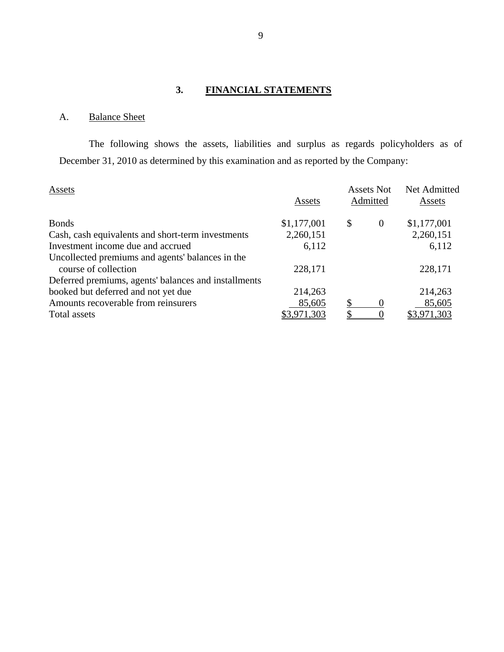# **3. FINANCIAL STATEMENTS**

# A. Balance Sheet

The following shows the assets, liabilities and surplus as regards policyholders as of December 31, 2010 as determined by this examination and as reported by the Company:

| Assets                                               |             | <b>Assets Not</b> |                  | Net Admitted       |  |
|------------------------------------------------------|-------------|-------------------|------------------|--------------------|--|
|                                                      | Assets      |                   | Admitted         | Assets             |  |
| <b>Bonds</b>                                         | \$1,177,001 | \$                | $\mathbf{0}$     | \$1,177,001        |  |
| Cash, cash equivalents and short-term investments    | 2,260,151   |                   |                  | 2,260,151          |  |
| Investment income due and accrued                    | 6,112       |                   |                  | 6,112              |  |
| Uncollected premiums and agents' balances in the     |             |                   |                  |                    |  |
| course of collection                                 | 228,171     |                   |                  | 228,171            |  |
| Deferred premiums, agents' balances and installments |             |                   |                  |                    |  |
| booked but deferred and not yet due                  | 214,263     |                   |                  | 214,263            |  |
| Amounts recoverable from reinsurers                  | 85,605      | \$                | $\left( \right)$ | 85,605             |  |
| Total assets                                         | .971.303    |                   |                  | <u>\$3,971,303</u> |  |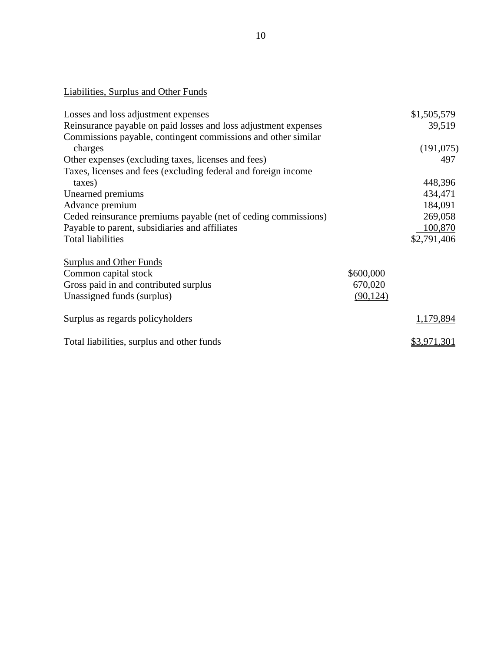# Liabilities, Surplus and Other Funds

| Losses and loss adjustment expenses                             |           | \$1,505,579 |
|-----------------------------------------------------------------|-----------|-------------|
| Reinsurance payable on paid losses and loss adjustment expenses |           | 39,519      |
| Commissions payable, contingent commissions and other similar   |           |             |
| charges                                                         |           | (191,075)   |
| Other expenses (excluding taxes, licenses and fees)             |           | 497         |
| Taxes, licenses and fees (excluding federal and foreign income  |           |             |
| taxes)                                                          |           | 448,396     |
| Unearned premiums                                               |           | 434,471     |
| Advance premium                                                 |           | 184,091     |
| Ceded reinsurance premiums payable (net of ceding commissions)  |           | 269,058     |
| Payable to parent, subsidiaries and affiliates                  |           | 100,870     |
| <b>Total liabilities</b>                                        |           | \$2,791,406 |
| <b>Surplus and Other Funds</b>                                  |           |             |
| Common capital stock                                            | \$600,000 |             |
| Gross paid in and contributed surplus                           | 670,020   |             |
| Unassigned funds (surplus)                                      | (90, 124) |             |
| Surplus as regards policyholders                                |           | 1,179,894   |
| Total liabilities, surplus and other funds                      |           | \$3,971,301 |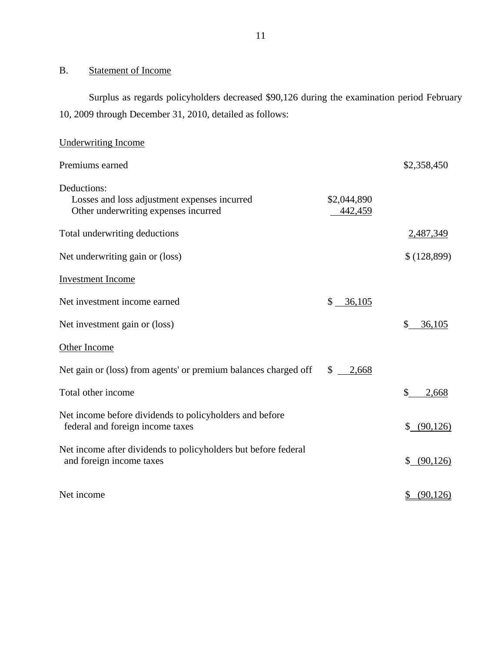# <span id="page-12-0"></span>B. Statement of Income

Surplus as regards policyholders decreased \$90,126 during the examination period February 10, 2009 through December 31, 2010, detailed as follows:

| <b>Underwriting Income</b>                                                                          |                        |                             |
|-----------------------------------------------------------------------------------------------------|------------------------|-----------------------------|
| Premiums earned                                                                                     |                        | \$2,358,450                 |
| Deductions:<br>Losses and loss adjustment expenses incurred<br>Other underwriting expenses incurred | \$2,044,890<br>442,459 |                             |
| Total underwriting deductions                                                                       |                        | 2,487,349                   |
| Net underwriting gain or (loss)                                                                     |                        | \$(128,899)                 |
| <b>Investment Income</b>                                                                            |                        |                             |
| Net investment income earned                                                                        | \$<br>36,105           |                             |
| Net investment gain or (loss)                                                                       |                        | \$<br>36,105                |
| Other Income                                                                                        |                        |                             |
| Net gain or (loss) from agents' or premium balances charged off                                     | \$<br>2,668            |                             |
| Total other income                                                                                  |                        | \$<br>2,668                 |
| Net income before dividends to policyholders and before<br>federal and foreign income taxes         |                        | $\mathbb{S}^-$<br>(90, 126) |
| Net income after dividends to policyholders but before federal<br>and foreign income taxes          |                        | \$ (90,126)                 |
| Net income                                                                                          |                        | $\frac{1}{2}$<br>(90, 126)  |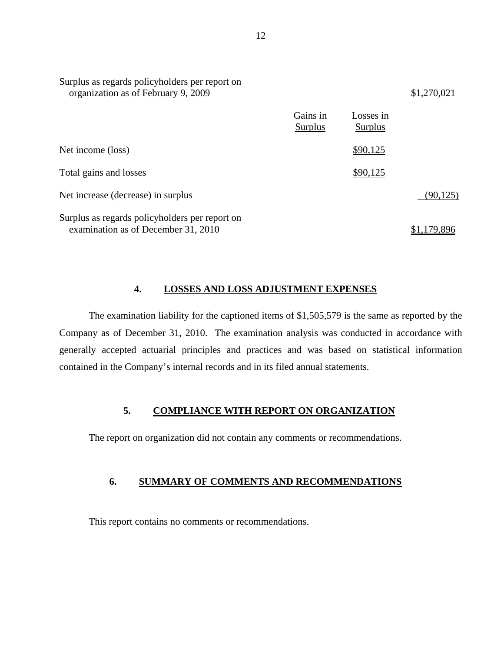| Surplus as regards policyholders per report on<br>organization as of February 9, 2009 |                     |                      | \$1,270,021 |
|---------------------------------------------------------------------------------------|---------------------|----------------------|-------------|
|                                                                                       | Gains in<br>Surplus | Losses in<br>Surplus |             |
| Net income (loss)                                                                     |                     | \$90,125             |             |
| Total gains and losses                                                                |                     | \$90,125             |             |
| Net increase (decrease) in surplus                                                    |                     |                      | (90, 125)   |
| Surplus as regards policyholders per report on<br>examination as of December 31, 2010 |                     |                      | 79.896      |

#### **4. LOSSES AND LOSS ADJUSTMENT EXPENSES**

The examination liability for the captioned items of \$1,505,579 is the same as reported by the Company as of December 31, 2010. The examination analysis was conducted in accordance with generally accepted actuarial principles and practices and was based on statistical information contained in the Company's internal records and in its filed annual statements.

#### **5. COMPLIANCE WITH REPORT ON ORGANIZATION**

The report on organization did not contain any comments or recommendations.

#### **6. SUMMARY OF COMMENTS AND RECOMMENDATIONS**

This report contains no comments or recommendations.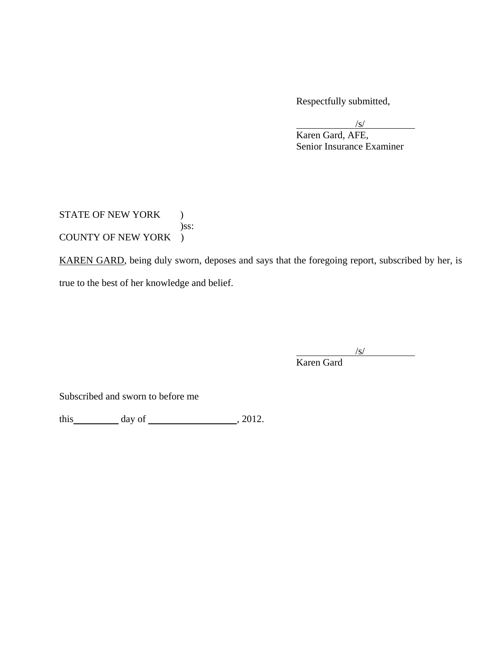Respectfully submitted,

 $\sqrt{s}$ 

 Karen Gard, AFE, Senior Insurance Examiner

STATE OF NEW YORK ) )ss: COUNTY OF NEW YORK )

KAREN GARD, being duly sworn, deposes and says that the foregoing report, subscribed by her, is true to the best of her knowledge and belief.

 $\sqrt{s}$ Karen Gard

Subscribed and sworn to before me

this  $\qquad \qquad$  day of  $\qquad \qquad$  , 2012.